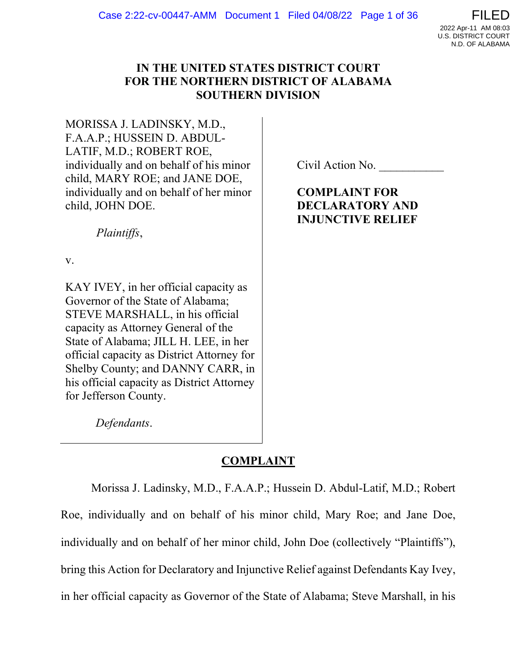

# IN THE UNITED STATES DISTRICT COURT FOR THE NORTHERN DISTRICT OF ALABAMA SOUTHERN DIVISION

MORISSA J. LADINSKY, M.D., F.A.A.P.; HUSSEIN D. ABDUL-LATIF, M.D.; ROBERT ROE, individually and on behalf of his minor child, MARY ROE; and JANE DOE, individually and on behalf of her minor child, JOHN DOE.

Civil Action No.

COMPLAINT FOR DECLARATORY AND INJUNCTIVE RELIEF

Plaintiffs,

Defendants.

v.

KAY IVEY, in her official capacity as Governor of the State of Alabama; STEVE MARSHALL, in his official capacity as Attorney General of the State of Alabama; JILL H. LEE, in her official capacity as District Attorney for Shelby County; and DANNY CARR, in his official capacity as District Attorney for Jefferson County.

COMPLAINT

Morissa J. Ladinsky, M.D., F.A.A.P.; Hussein D. Abdul-Latif, M.D.; Robert Roe, individually and on behalf of his minor child, Mary Roe; and Jane Doe, individually and on behalf of her minor child, John Doe (collectively "Plaintiffs"), bring this Action for Declaratory and Injunctive Relief against Defendants Kay Ivey, in her official capacity as Governor of the State of Alabama; Steve Marshall, in his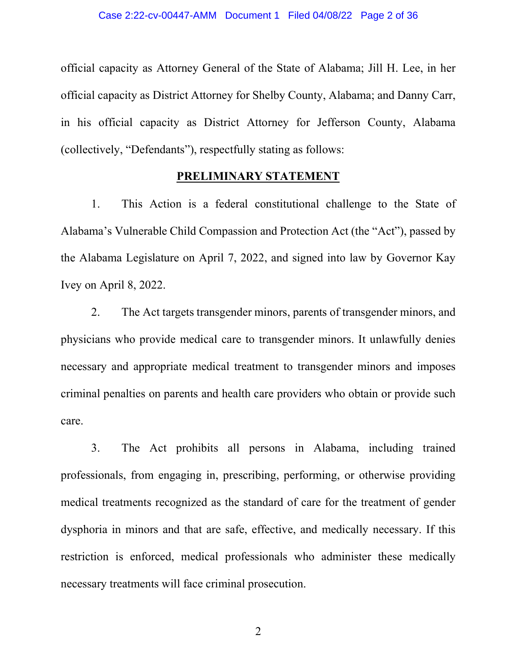official capacity as Attorney General of the State of Alabama; Jill H. Lee, in her official capacity as District Attorney for Shelby County, Alabama; and Danny Carr, in his official capacity as District Attorney for Jefferson County, Alabama (collectively, "Defendants"), respectfully stating as follows:

## PRELIMINARY STATEMENT

1. This Action is a federal constitutional challenge to the State of Alabama's Vulnerable Child Compassion and Protection Act (the "Act"), passed by the Alabama Legislature on April 7, 2022, and signed into law by Governor Kay Ivey on April 8, 2022.

2. The Act targets transgender minors, parents of transgender minors, and physicians who provide medical care to transgender minors. It unlawfully denies necessary and appropriate medical treatment to transgender minors and imposes criminal penalties on parents and health care providers who obtain or provide such care.

3. The Act prohibits all persons in Alabama, including trained professionals, from engaging in, prescribing, performing, or otherwise providing medical treatments recognized as the standard of care for the treatment of gender dysphoria in minors and that are safe, effective, and medically necessary. If this restriction is enforced, medical professionals who administer these medically necessary treatments will face criminal prosecution.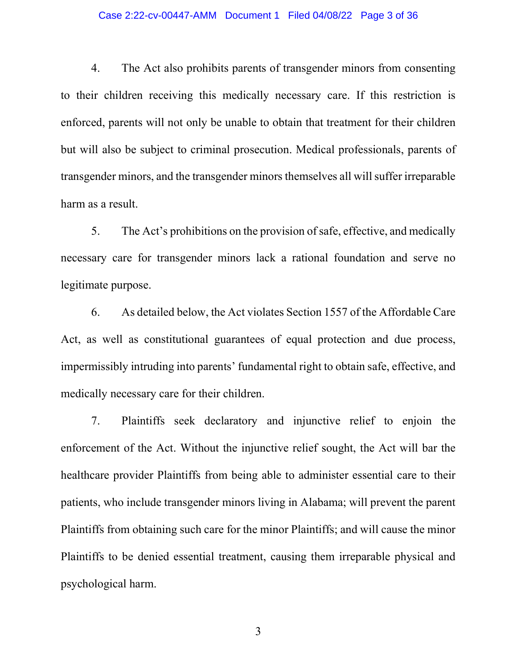#### Case 2:22-cv-00447-AMM Document 1 Filed 04/08/22 Page 3 of 36

4. The Act also prohibits parents of transgender minors from consenting to their children receiving this medically necessary care. If this restriction is enforced, parents will not only be unable to obtain that treatment for their children but will also be subject to criminal prosecution. Medical professionals, parents of transgender minors, and the transgender minors themselves all will suffer irreparable harm as a result.

5. The Act's prohibitions on the provision of safe, effective, and medically necessary care for transgender minors lack a rational foundation and serve no legitimate purpose.

6. As detailed below, the Act violates Section 1557 of the Affordable Care Act, as well as constitutional guarantees of equal protection and due process, impermissibly intruding into parents' fundamental right to obtain safe, effective, and medically necessary care for their children.

7. Plaintiffs seek declaratory and injunctive relief to enjoin the enforcement of the Act. Without the injunctive relief sought, the Act will bar the healthcare provider Plaintiffs from being able to administer essential care to their patients, who include transgender minors living in Alabama; will prevent the parent Plaintiffs from obtaining such care for the minor Plaintiffs; and will cause the minor Plaintiffs to be denied essential treatment, causing them irreparable physical and psychological harm.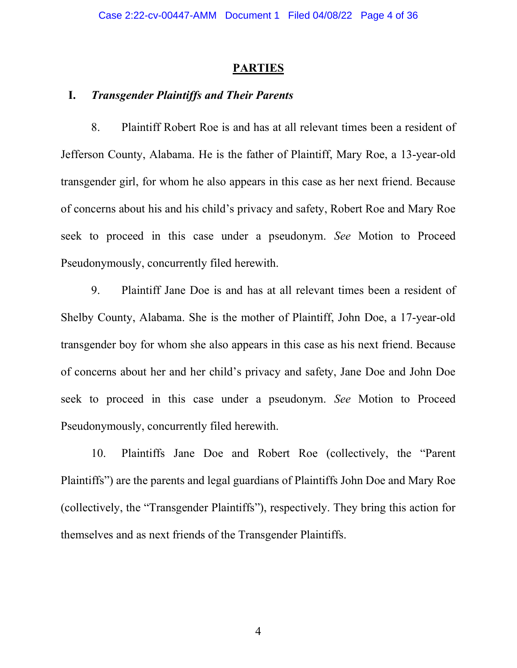## **PARTIES**

## I. Transgender Plaintiffs and Their Parents

8. Plaintiff Robert Roe is and has at all relevant times been a resident of Jefferson County, Alabama. He is the father of Plaintiff, Mary Roe, a 13-year-old transgender girl, for whom he also appears in this case as her next friend. Because of concerns about his and his child's privacy and safety, Robert Roe and Mary Roe seek to proceed in this case under a pseudonym. See Motion to Proceed Pseudonymously, concurrently filed herewith.

9. Plaintiff Jane Doe is and has at all relevant times been a resident of Shelby County, Alabama. She is the mother of Plaintiff, John Doe, a 17-year-old transgender boy for whom she also appears in this case as his next friend. Because of concerns about her and her child's privacy and safety, Jane Doe and John Doe seek to proceed in this case under a pseudonym. See Motion to Proceed Pseudonymously, concurrently filed herewith.

10. Plaintiffs Jane Doe and Robert Roe (collectively, the "Parent Plaintiffs") are the parents and legal guardians of Plaintiffs John Doe and Mary Roe (collectively, the "Transgender Plaintiffs"), respectively. They bring this action for themselves and as next friends of the Transgender Plaintiffs.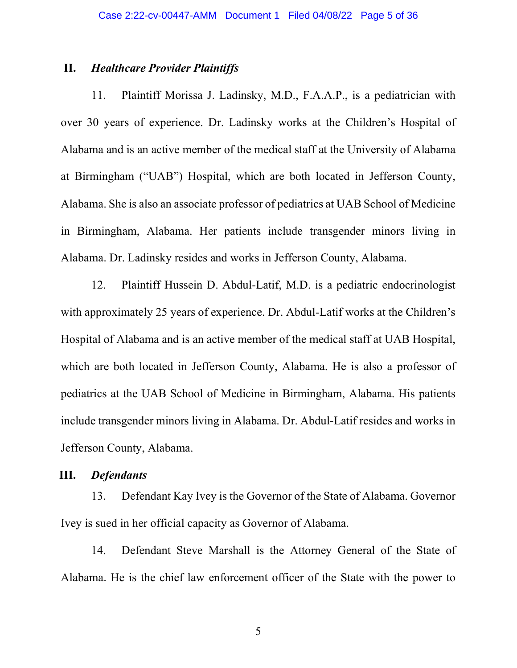### II. Healthcare Provider Plaintiffs

11. Plaintiff Morissa J. Ladinsky, M.D., F.A.A.P., is a pediatrician with over 30 years of experience. Dr. Ladinsky works at the Children's Hospital of Alabama and is an active member of the medical staff at the University of Alabama at Birmingham ("UAB") Hospital, which are both located in Jefferson County, Alabama. She is also an associate professor of pediatrics at UAB School of Medicine in Birmingham, Alabama. Her patients include transgender minors living in Alabama. Dr. Ladinsky resides and works in Jefferson County, Alabama.

12. Plaintiff Hussein D. Abdul-Latif, M.D. is a pediatric endocrinologist with approximately 25 years of experience. Dr. Abdul-Latif works at the Children's Hospital of Alabama and is an active member of the medical staff at UAB Hospital, which are both located in Jefferson County, Alabama. He is also a professor of pediatrics at the UAB School of Medicine in Birmingham, Alabama. His patients include transgender minors living in Alabama. Dr. Abdul-Latif resides and works in Jefferson County, Alabama.

## III. Defendants

13. Defendant Kay Ivey is the Governor of the State of Alabama. Governor Ivey is sued in her official capacity as Governor of Alabama.

14. Defendant Steve Marshall is the Attorney General of the State of Alabama. He is the chief law enforcement officer of the State with the power to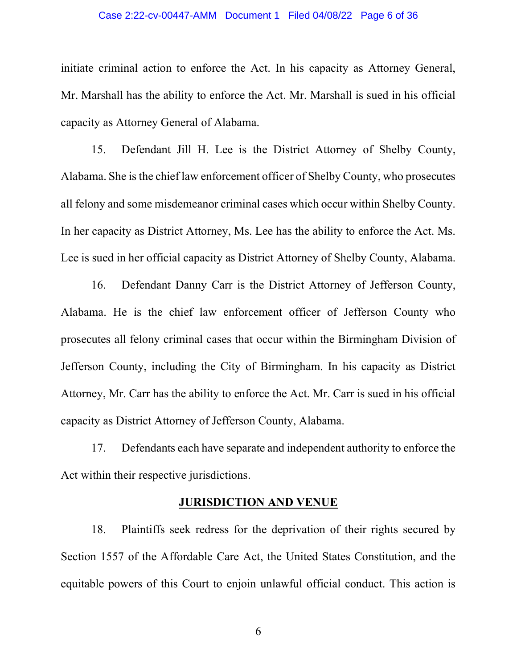#### Case 2:22-cv-00447-AMM Document 1 Filed 04/08/22 Page 6 of 36

initiate criminal action to enforce the Act. In his capacity as Attorney General, Mr. Marshall has the ability to enforce the Act. Mr. Marshall is sued in his official capacity as Attorney General of Alabama.

15. Defendant Jill H. Lee is the District Attorney of Shelby County, Alabama. She is the chief law enforcement officer of Shelby County, who prosecutes all felony and some misdemeanor criminal cases which occur within Shelby County. In her capacity as District Attorney, Ms. Lee has the ability to enforce the Act. Ms. Lee is sued in her official capacity as District Attorney of Shelby County, Alabama.

16. Defendant Danny Carr is the District Attorney of Jefferson County, Alabama. He is the chief law enforcement officer of Jefferson County who prosecutes all felony criminal cases that occur within the Birmingham Division of Jefferson County, including the City of Birmingham. In his capacity as District Attorney, Mr. Carr has the ability to enforce the Act. Mr. Carr is sued in his official capacity as District Attorney of Jefferson County, Alabama.

17. Defendants each have separate and independent authority to enforce the Act within their respective jurisdictions.

### JURISDICTION AND VENUE

18. Plaintiffs seek redress for the deprivation of their rights secured by Section 1557 of the Affordable Care Act, the United States Constitution, and the equitable powers of this Court to enjoin unlawful official conduct. This action is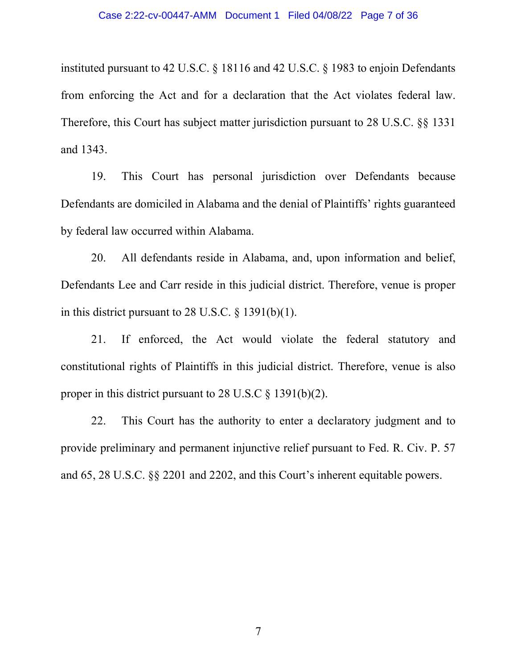instituted pursuant to 42 U.S.C. § 18116 and 42 U.S.C. § 1983 to enjoin Defendants from enforcing the Act and for a declaration that the Act violates federal law. Therefore, this Court has subject matter jurisdiction pursuant to 28 U.S.C. §§ 1331 and 1343.

19. This Court has personal jurisdiction over Defendants because Defendants are domiciled in Alabama and the denial of Plaintiffs' rights guaranteed by federal law occurred within Alabama.

20. All defendants reside in Alabama, and, upon information and belief, Defendants Lee and Carr reside in this judicial district. Therefore, venue is proper in this district pursuant to 28 U.S.C. § 1391(b)(1).

21. If enforced, the Act would violate the federal statutory and constitutional rights of Plaintiffs in this judicial district. Therefore, venue is also proper in this district pursuant to 28 U.S.C § 1391(b)(2).

22. This Court has the authority to enter a declaratory judgment and to provide preliminary and permanent injunctive relief pursuant to Fed. R. Civ. P. 57 and 65, 28 U.S.C. §§ 2201 and 2202, and this Court's inherent equitable powers.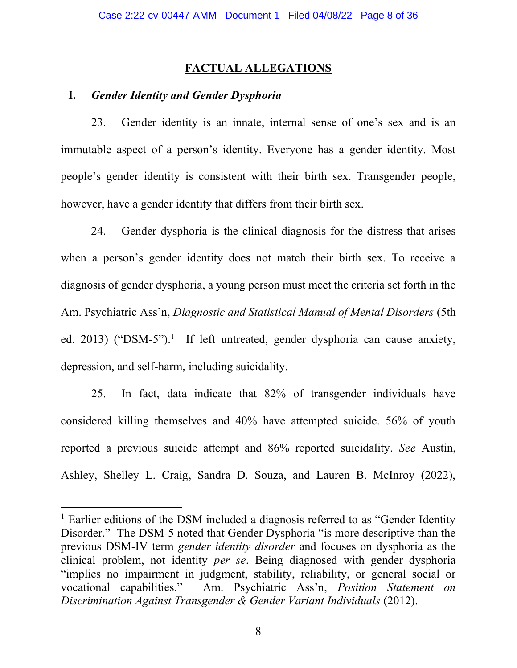# FACTUAL ALLEGATIONS

## I. Gender Identity and Gender Dysphoria

23. Gender identity is an innate, internal sense of one's sex and is an immutable aspect of a person's identity. Everyone has a gender identity. Most people's gender identity is consistent with their birth sex. Transgender people, however, have a gender identity that differs from their birth sex.

24. Gender dysphoria is the clinical diagnosis for the distress that arises when a person's gender identity does not match their birth sex. To receive a diagnosis of gender dysphoria, a young person must meet the criteria set forth in the Am. Psychiatric Ass'n, Diagnostic and Statistical Manual of Mental Disorders (5th ed. 2013) ("DSM-5").<sup>1</sup> If left untreated, gender dysphoria can cause anxiety, depression, and self-harm, including suicidality.

25. In fact, data indicate that 82% of transgender individuals have considered killing themselves and 40% have attempted suicide. 56% of youth reported a previous suicide attempt and 86% reported suicidality. See Austin, Ashley, Shelley L. Craig, Sandra D. Souza, and Lauren B. McInroy (2022),

<sup>&</sup>lt;sup>1</sup> Earlier editions of the DSM included a diagnosis referred to as "Gender Identity Disorder." The DSM-5 noted that Gender Dysphoria "is more descriptive than the previous DSM-IV term gender identity disorder and focuses on dysphoria as the clinical problem, not identity per se. Being diagnosed with gender dysphoria "implies no impairment in judgment, stability, reliability, or general social or vocational capabilities." Am. Psychiatric Ass'n, Position Statement on Discrimination Against Transgender & Gender Variant Individuals (2012).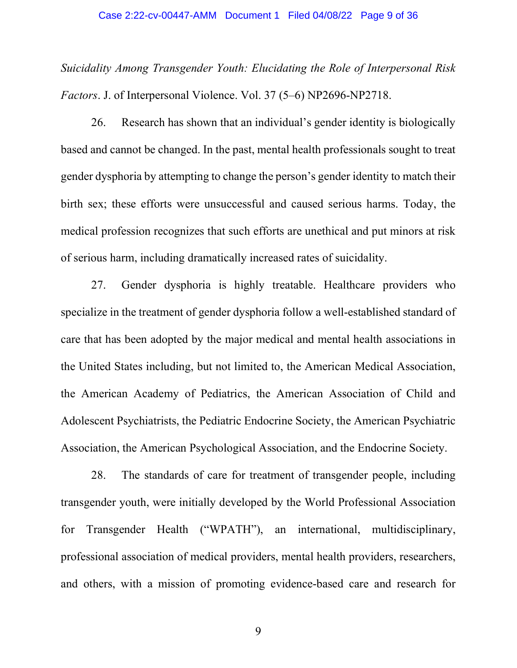#### Case 2:22-cv-00447-AMM Document 1 Filed 04/08/22 Page 9 of 36

Suicidality Among Transgender Youth: Elucidating the Role of Interpersonal Risk Factors. J. of Interpersonal Violence. Vol. 37 (5–6) NP2696-NP2718.

26. Research has shown that an individual's gender identity is biologically based and cannot be changed. In the past, mental health professionals sought to treat gender dysphoria by attempting to change the person's gender identity to match their birth sex; these efforts were unsuccessful and caused serious harms. Today, the medical profession recognizes that such efforts are unethical and put minors at risk of serious harm, including dramatically increased rates of suicidality.

27. Gender dysphoria is highly treatable. Healthcare providers who specialize in the treatment of gender dysphoria follow a well-established standard of care that has been adopted by the major medical and mental health associations in the United States including, but not limited to, the American Medical Association, the American Academy of Pediatrics, the American Association of Child and Adolescent Psychiatrists, the Pediatric Endocrine Society, the American Psychiatric Association, the American Psychological Association, and the Endocrine Society.

28. The standards of care for treatment of transgender people, including transgender youth, were initially developed by the World Professional Association for Transgender Health ("WPATH"), an international, multidisciplinary, professional association of medical providers, mental health providers, researchers, and others, with a mission of promoting evidence-based care and research for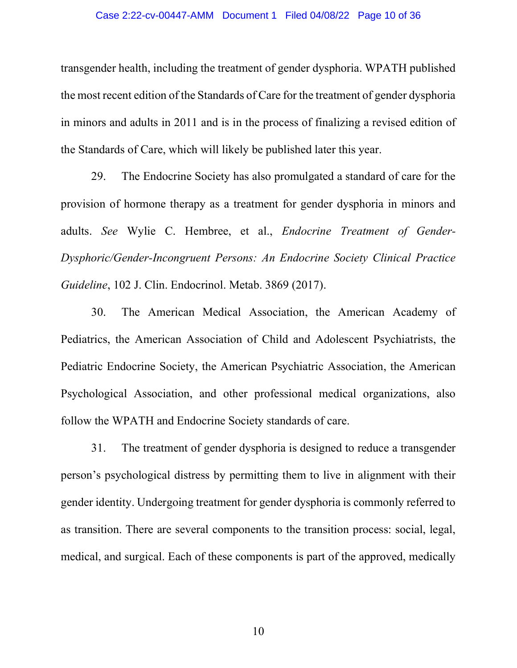#### Case 2:22-cv-00447-AMM Document 1 Filed 04/08/22 Page 10 of 36

transgender health, including the treatment of gender dysphoria. WPATH published the most recent edition of the Standards of Care for the treatment of gender dysphoria in minors and adults in 2011 and is in the process of finalizing a revised edition of the Standards of Care, which will likely be published later this year.

29. The Endocrine Society has also promulgated a standard of care for the provision of hormone therapy as a treatment for gender dysphoria in minors and adults. See Wylie C. Hembree, et al., Endocrine Treatment of Gender-Dysphoric/Gender-Incongruent Persons: An Endocrine Society Clinical Practice Guideline, 102 J. Clin. Endocrinol. Metab. 3869 (2017).

30. The American Medical Association, the American Academy of Pediatrics, the American Association of Child and Adolescent Psychiatrists, the Pediatric Endocrine Society, the American Psychiatric Association, the American Psychological Association, and other professional medical organizations, also follow the WPATH and Endocrine Society standards of care.

31. The treatment of gender dysphoria is designed to reduce a transgender person's psychological distress by permitting them to live in alignment with their gender identity. Undergoing treatment for gender dysphoria is commonly referred to as transition. There are several components to the transition process: social, legal, medical, and surgical. Each of these components is part of the approved, medically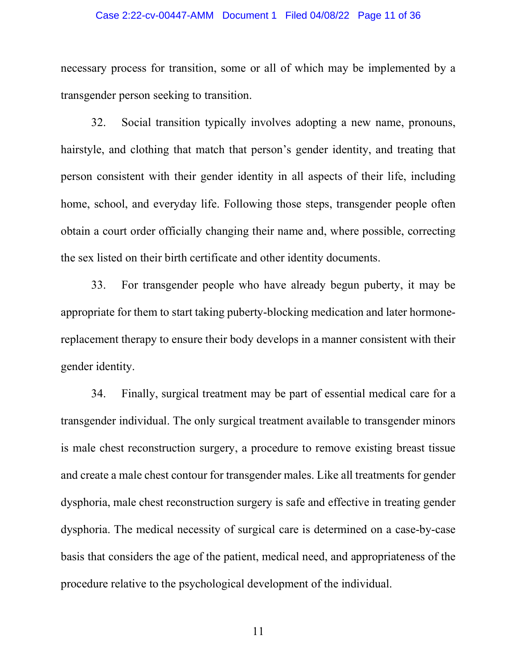#### Case 2:22-cv-00447-AMM Document 1 Filed 04/08/22 Page 11 of 36

necessary process for transition, some or all of which may be implemented by a transgender person seeking to transition.

32. Social transition typically involves adopting a new name, pronouns, hairstyle, and clothing that match that person's gender identity, and treating that person consistent with their gender identity in all aspects of their life, including home, school, and everyday life. Following those steps, transgender people often obtain a court order officially changing their name and, where possible, correcting the sex listed on their birth certificate and other identity documents.

33. For transgender people who have already begun puberty, it may be appropriate for them to start taking puberty-blocking medication and later hormonereplacement therapy to ensure their body develops in a manner consistent with their gender identity.

34. Finally, surgical treatment may be part of essential medical care for a transgender individual. The only surgical treatment available to transgender minors is male chest reconstruction surgery, a procedure to remove existing breast tissue and create a male chest contour for transgender males. Like all treatments for gender dysphoria, male chest reconstruction surgery is safe and effective in treating gender dysphoria. The medical necessity of surgical care is determined on a case-by-case basis that considers the age of the patient, medical need, and appropriateness of the procedure relative to the psychological development of the individual.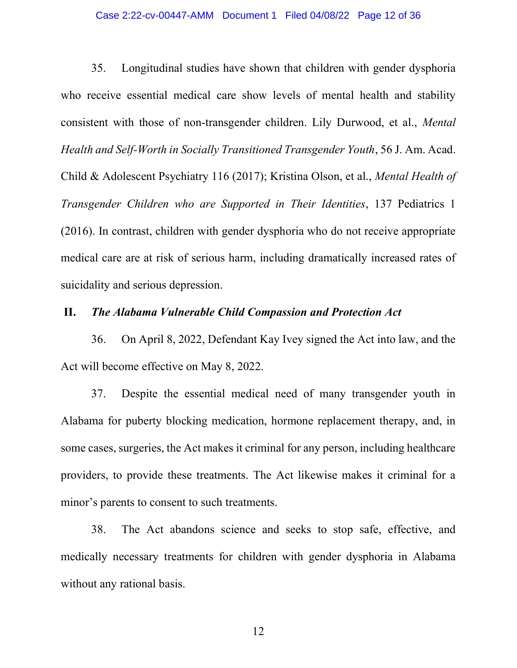### Case 2:22-cv-00447-AMM Document 1 Filed 04/08/22 Page 12 of 36

35. Longitudinal studies have shown that children with gender dysphoria who receive essential medical care show levels of mental health and stability consistent with those of non-transgender children. Lily Durwood, et al., Mental Health and Self-Worth in Socially Transitioned Transgender Youth, 56 J. Am. Acad. Child & Adolescent Psychiatry 116 (2017); Kristina Olson, et al., Mental Health of Transgender Children who are Supported in Their Identities, 137 Pediatrics 1 (2016). In contrast, children with gender dysphoria who do not receive appropriate medical care are at risk of serious harm, including dramatically increased rates of suicidality and serious depression.

## II. The Alabama Vulnerable Child Compassion and Protection Act

36. On April 8, 2022, Defendant Kay Ivey signed the Act into law, and the Act will become effective on May 8, 2022.

37. Despite the essential medical need of many transgender youth in Alabama for puberty blocking medication, hormone replacement therapy, and, in some cases, surgeries, the Act makes it criminal for any person, including healthcare providers, to provide these treatments. The Act likewise makes it criminal for a minor's parents to consent to such treatments.

38. The Act abandons science and seeks to stop safe, effective, and medically necessary treatments for children with gender dysphoria in Alabama without any rational basis.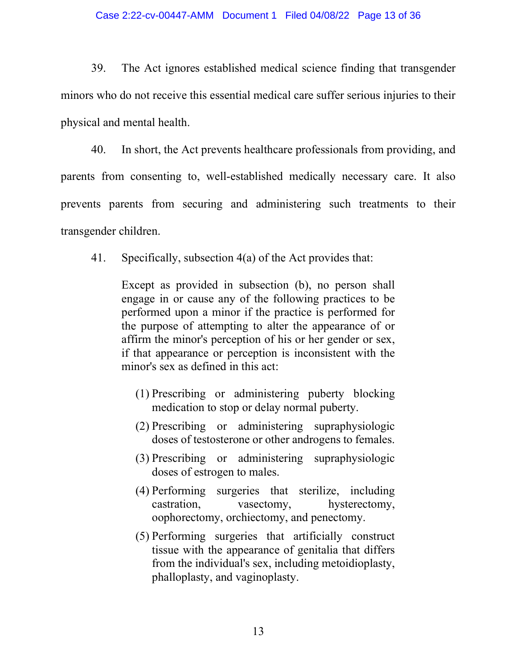39. The Act ignores established medical science finding that transgender minors who do not receive this essential medical care suffer serious injuries to their physical and mental health.

40. In short, the Act prevents healthcare professionals from providing, and parents from consenting to, well-established medically necessary care. It also prevents parents from securing and administering such treatments to their transgender children.

41. Specifically, subsection 4(a) of the Act provides that:

Except as provided in subsection (b), no person shall engage in or cause any of the following practices to be performed upon a minor if the practice is performed for the purpose of attempting to alter the appearance of or affirm the minor's perception of his or her gender or sex, if that appearance or perception is inconsistent with the minor's sex as defined in this act:

- (1) Prescribing or administering puberty blocking medication to stop or delay normal puberty.
- (2) Prescribing or administering supraphysiologic doses of testosterone or other androgens to females.
- (3) Prescribing or administering supraphysiologic doses of estrogen to males.
- (4) Performing surgeries that sterilize, including castration, vasectomy, hysterectomy, oophorectomy, orchiectomy, and penectomy.
- (5) Performing surgeries that artificially construct tissue with the appearance of genitalia that differs from the individual's sex, including metoidioplasty, phalloplasty, and vaginoplasty.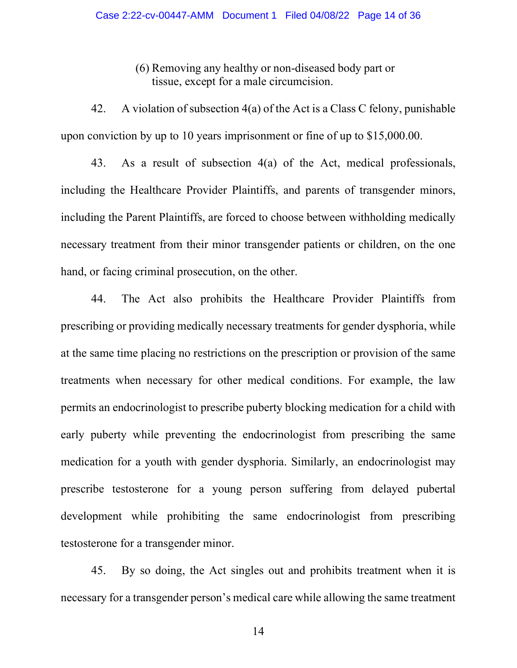(6) Removing any healthy or non-diseased body part or tissue, except for a male circumcision.

42. A violation of subsection 4(a) of the Act is a Class C felony, punishable upon conviction by up to 10 years imprisonment or fine of up to \$15,000.00.

43. As a result of subsection 4(a) of the Act, medical professionals, including the Healthcare Provider Plaintiffs, and parents of transgender minors, including the Parent Plaintiffs, are forced to choose between withholding medically necessary treatment from their minor transgender patients or children, on the one hand, or facing criminal prosecution, on the other.

44. The Act also prohibits the Healthcare Provider Plaintiffs from prescribing or providing medically necessary treatments for gender dysphoria, while at the same time placing no restrictions on the prescription or provision of the same treatments when necessary for other medical conditions. For example, the law permits an endocrinologist to prescribe puberty blocking medication for a child with early puberty while preventing the endocrinologist from prescribing the same medication for a youth with gender dysphoria. Similarly, an endocrinologist may prescribe testosterone for a young person suffering from delayed pubertal development while prohibiting the same endocrinologist from prescribing testosterone for a transgender minor.

45. By so doing, the Act singles out and prohibits treatment when it is necessary for a transgender person's medical care while allowing the same treatment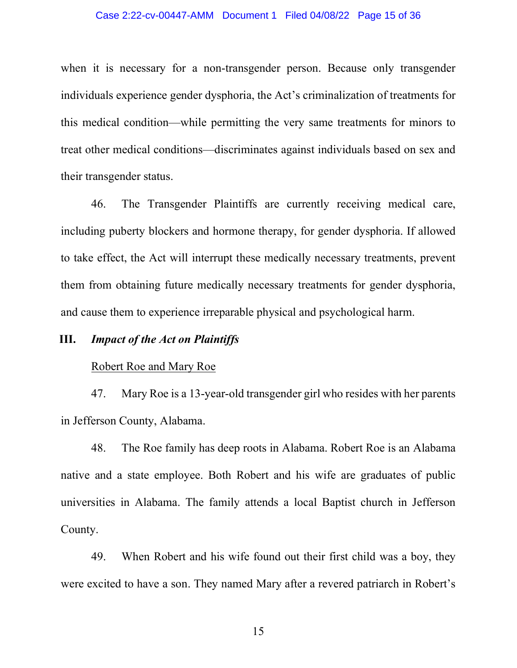when it is necessary for a non-transgender person. Because only transgender individuals experience gender dysphoria, the Act's criminalization of treatments for this medical condition—while permitting the very same treatments for minors to treat other medical conditions—discriminates against individuals based on sex and their transgender status.

46. The Transgender Plaintiffs are currently receiving medical care, including puberty blockers and hormone therapy, for gender dysphoria. If allowed to take effect, the Act will interrupt these medically necessary treatments, prevent them from obtaining future medically necessary treatments for gender dysphoria, and cause them to experience irreparable physical and psychological harm.

## III. Impact of the Act on Plaintiffs

## Robert Roe and Mary Roe

47. Mary Roe is a 13-year-old transgender girl who resides with her parents in Jefferson County, Alabama.

48. The Roe family has deep roots in Alabama. Robert Roe is an Alabama native and a state employee. Both Robert and his wife are graduates of public universities in Alabama. The family attends a local Baptist church in Jefferson County.

49. When Robert and his wife found out their first child was a boy, they were excited to have a son. They named Mary after a revered patriarch in Robert's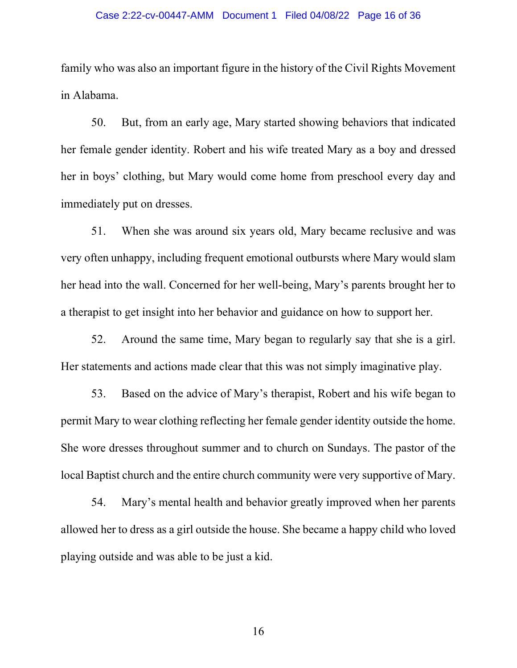#### Case 2:22-cv-00447-AMM Document 1 Filed 04/08/22 Page 16 of 36

family who was also an important figure in the history of the Civil Rights Movement in Alabama.

50. But, from an early age, Mary started showing behaviors that indicated her female gender identity. Robert and his wife treated Mary as a boy and dressed her in boys' clothing, but Mary would come home from preschool every day and immediately put on dresses.

51. When she was around six years old, Mary became reclusive and was very often unhappy, including frequent emotional outbursts where Mary would slam her head into the wall. Concerned for her well-being, Mary's parents brought her to a therapist to get insight into her behavior and guidance on how to support her.

52. Around the same time, Mary began to regularly say that she is a girl. Her statements and actions made clear that this was not simply imaginative play.

53. Based on the advice of Mary's therapist, Robert and his wife began to permit Mary to wear clothing reflecting her female gender identity outside the home. She wore dresses throughout summer and to church on Sundays. The pastor of the local Baptist church and the entire church community were very supportive of Mary.

54. Mary's mental health and behavior greatly improved when her parents allowed her to dress as a girl outside the house. She became a happy child who loved playing outside and was able to be just a kid.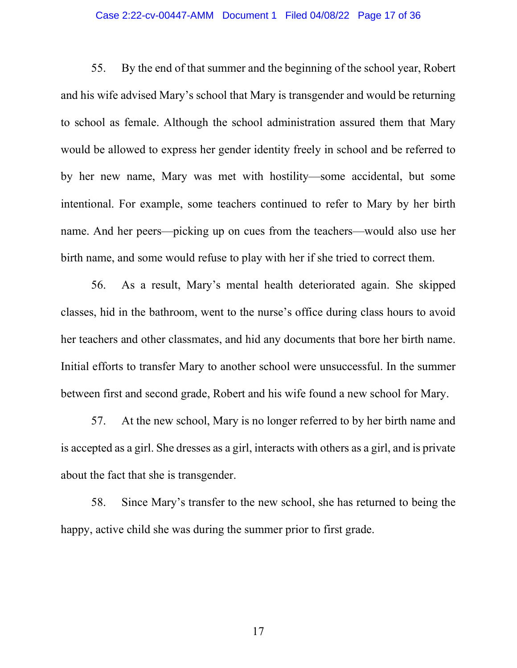### Case 2:22-cv-00447-AMM Document 1 Filed 04/08/22 Page 17 of 36

55. By the end of that summer and the beginning of the school year, Robert and his wife advised Mary's school that Mary is transgender and would be returning to school as female. Although the school administration assured them that Mary would be allowed to express her gender identity freely in school and be referred to by her new name, Mary was met with hostility—some accidental, but some intentional. For example, some teachers continued to refer to Mary by her birth name. And her peers—picking up on cues from the teachers—would also use her birth name, and some would refuse to play with her if she tried to correct them.

56. As a result, Mary's mental health deteriorated again. She skipped classes, hid in the bathroom, went to the nurse's office during class hours to avoid her teachers and other classmates, and hid any documents that bore her birth name. Initial efforts to transfer Mary to another school were unsuccessful. In the summer between first and second grade, Robert and his wife found a new school for Mary.

57. At the new school, Mary is no longer referred to by her birth name and is accepted as a girl. She dresses as a girl, interacts with others as a girl, and is private about the fact that she is transgender.

58. Since Mary's transfer to the new school, she has returned to being the happy, active child she was during the summer prior to first grade.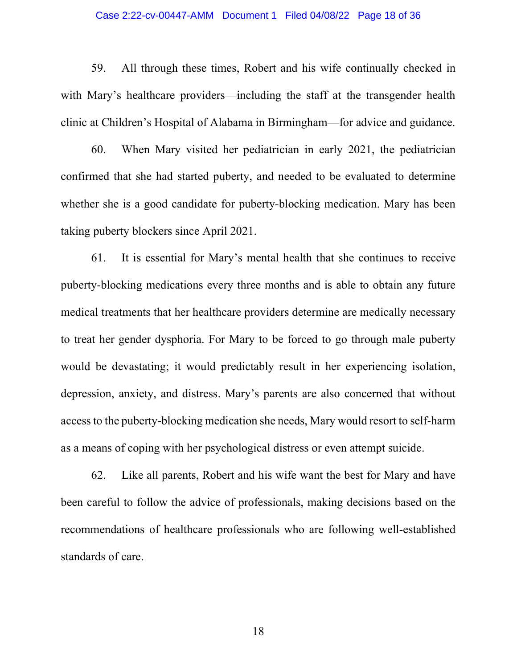### Case 2:22-cv-00447-AMM Document 1 Filed 04/08/22 Page 18 of 36

59. All through these times, Robert and his wife continually checked in with Mary's healthcare providers—including the staff at the transgender health clinic at Children's Hospital of Alabama in Birmingham—for advice and guidance.

60. When Mary visited her pediatrician in early 2021, the pediatrician confirmed that she had started puberty, and needed to be evaluated to determine whether she is a good candidate for puberty-blocking medication. Mary has been taking puberty blockers since April 2021.

61. It is essential for Mary's mental health that she continues to receive puberty-blocking medications every three months and is able to obtain any future medical treatments that her healthcare providers determine are medically necessary to treat her gender dysphoria. For Mary to be forced to go through male puberty would be devastating; it would predictably result in her experiencing isolation, depression, anxiety, and distress. Mary's parents are also concerned that without access to the puberty-blocking medication she needs, Mary would resort to self-harm as a means of coping with her psychological distress or even attempt suicide.

62. Like all parents, Robert and his wife want the best for Mary and have been careful to follow the advice of professionals, making decisions based on the recommendations of healthcare professionals who are following well-established standards of care.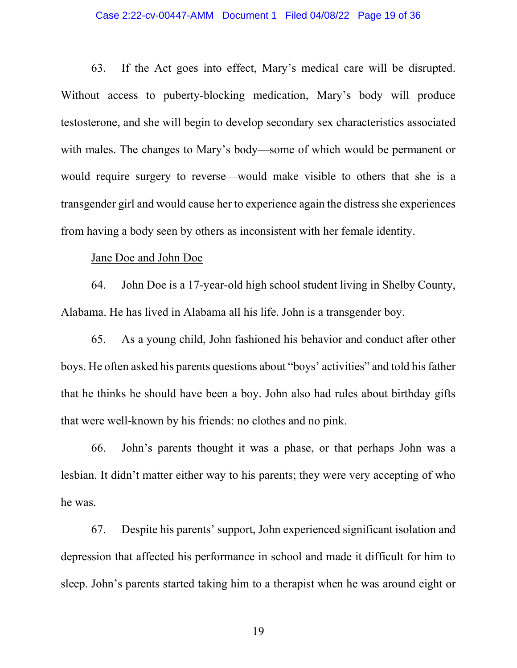#### Case 2:22-cv-00447-AMM Document 1 Filed 04/08/22 Page 19 of 36

63. If the Act goes into effect, Mary's medical care will be disrupted. Without access to puberty-blocking medication, Mary's body will produce testosterone, and she will begin to develop secondary sex characteristics associated with males. The changes to Mary's body—some of which would be permanent or would require surgery to reverse—would make visible to others that she is a transgender girl and would cause her to experience again the distress she experiences from having a body seen by others as inconsistent with her female identity.

## Jane Doe and John Doe

64. John Doe is a 17-year-old high school student living in Shelby County, Alabama. He has lived in Alabama all his life. John is a transgender boy.

65. As a young child, John fashioned his behavior and conduct after other boys. He often asked his parents questions about "boys' activities" and told his father that he thinks he should have been a boy. John also had rules about birthday gifts that were well-known by his friends: no clothes and no pink.

66. John's parents thought it was a phase, or that perhaps John was a lesbian. It didn't matter either way to his parents; they were very accepting of who he was.

67. Despite his parents' support, John experienced significant isolation and depression that affected his performance in school and made it difficult for him to sleep. John's parents started taking him to a therapist when he was around eight or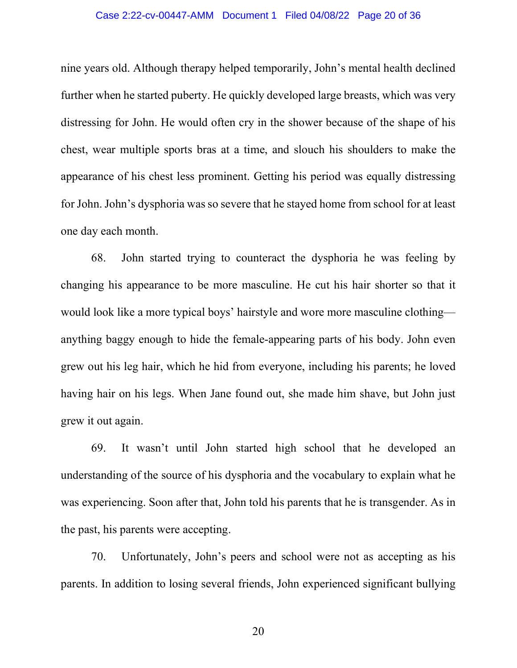### Case 2:22-cv-00447-AMM Document 1 Filed 04/08/22 Page 20 of 36

nine years old. Although therapy helped temporarily, John's mental health declined further when he started puberty. He quickly developed large breasts, which was very distressing for John. He would often cry in the shower because of the shape of his chest, wear multiple sports bras at a time, and slouch his shoulders to make the appearance of his chest less prominent. Getting his period was equally distressing for John. John's dysphoria was so severe that he stayed home from school for at least one day each month.

68. John started trying to counteract the dysphoria he was feeling by changing his appearance to be more masculine. He cut his hair shorter so that it would look like a more typical boys' hairstyle and wore more masculine clothing anything baggy enough to hide the female-appearing parts of his body. John even grew out his leg hair, which he hid from everyone, including his parents; he loved having hair on his legs. When Jane found out, she made him shave, but John just grew it out again.

69. It wasn't until John started high school that he developed an understanding of the source of his dysphoria and the vocabulary to explain what he was experiencing. Soon after that, John told his parents that he is transgender. As in the past, his parents were accepting.

70. Unfortunately, John's peers and school were not as accepting as his parents. In addition to losing several friends, John experienced significant bullying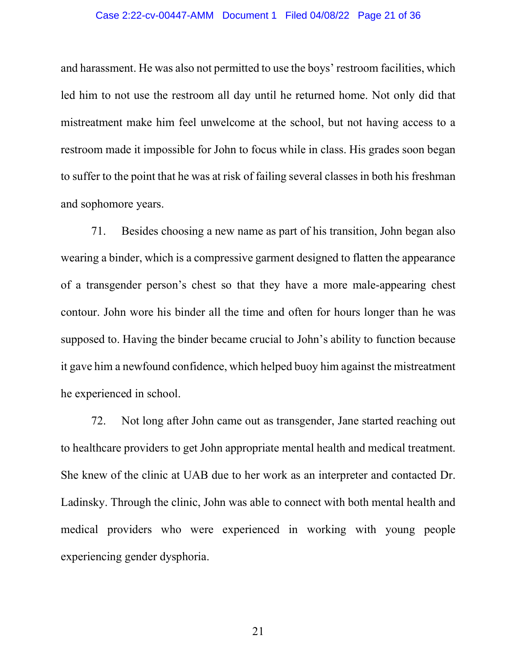### Case 2:22-cv-00447-AMM Document 1 Filed 04/08/22 Page 21 of 36

and harassment. He was also not permitted to use the boys' restroom facilities, which led him to not use the restroom all day until he returned home. Not only did that mistreatment make him feel unwelcome at the school, but not having access to a restroom made it impossible for John to focus while in class. His grades soon began to suffer to the point that he was at risk of failing several classes in both his freshman and sophomore years.

71. Besides choosing a new name as part of his transition, John began also wearing a binder, which is a compressive garment designed to flatten the appearance of a transgender person's chest so that they have a more male-appearing chest contour. John wore his binder all the time and often for hours longer than he was supposed to. Having the binder became crucial to John's ability to function because it gave him a newfound confidence, which helped buoy him against the mistreatment he experienced in school.

72. Not long after John came out as transgender, Jane started reaching out to healthcare providers to get John appropriate mental health and medical treatment. She knew of the clinic at UAB due to her work as an interpreter and contacted Dr. Ladinsky. Through the clinic, John was able to connect with both mental health and medical providers who were experienced in working with young people experiencing gender dysphoria.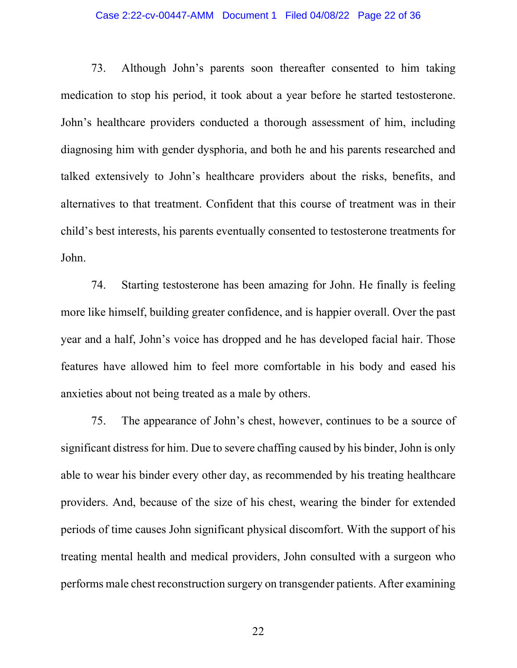### Case 2:22-cv-00447-AMM Document 1 Filed 04/08/22 Page 22 of 36

73. Although John's parents soon thereafter consented to him taking medication to stop his period, it took about a year before he started testosterone. John's healthcare providers conducted a thorough assessment of him, including diagnosing him with gender dysphoria, and both he and his parents researched and talked extensively to John's healthcare providers about the risks, benefits, and alternatives to that treatment. Confident that this course of treatment was in their child's best interests, his parents eventually consented to testosterone treatments for John.

74. Starting testosterone has been amazing for John. He finally is feeling more like himself, building greater confidence, and is happier overall. Over the past year and a half, John's voice has dropped and he has developed facial hair. Those features have allowed him to feel more comfortable in his body and eased his anxieties about not being treated as a male by others.

75. The appearance of John's chest, however, continues to be a source of significant distress for him. Due to severe chaffing caused by his binder, John is only able to wear his binder every other day, as recommended by his treating healthcare providers. And, because of the size of his chest, wearing the binder for extended periods of time causes John significant physical discomfort. With the support of his treating mental health and medical providers, John consulted with a surgeon who performs male chest reconstruction surgery on transgender patients. After examining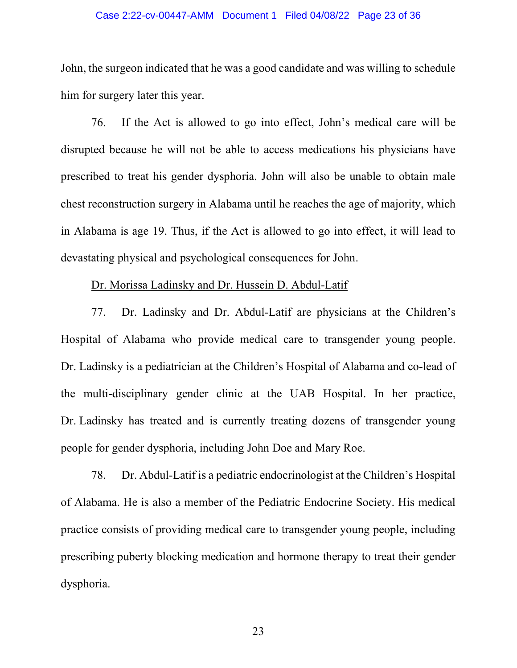### Case 2:22-cv-00447-AMM Document 1 Filed 04/08/22 Page 23 of 36

John, the surgeon indicated that he was a good candidate and was willing to schedule him for surgery later this year.

76. If the Act is allowed to go into effect, John's medical care will be disrupted because he will not be able to access medications his physicians have prescribed to treat his gender dysphoria. John will also be unable to obtain male chest reconstruction surgery in Alabama until he reaches the age of majority, which in Alabama is age 19. Thus, if the Act is allowed to go into effect, it will lead to devastating physical and psychological consequences for John.

### Dr. Morissa Ladinsky and Dr. Hussein D. Abdul-Latif

77. Dr. Ladinsky and Dr. Abdul-Latif are physicians at the Children's Hospital of Alabama who provide medical care to transgender young people. Dr. Ladinsky is a pediatrician at the Children's Hospital of Alabama and co-lead of the multi-disciplinary gender clinic at the UAB Hospital. In her practice, Dr. Ladinsky has treated and is currently treating dozens of transgender young people for gender dysphoria, including John Doe and Mary Roe.

78. Dr. Abdul-Latif is a pediatric endocrinologist at the Children's Hospital of Alabama. He is also a member of the Pediatric Endocrine Society. His medical practice consists of providing medical care to transgender young people, including prescribing puberty blocking medication and hormone therapy to treat their gender dysphoria.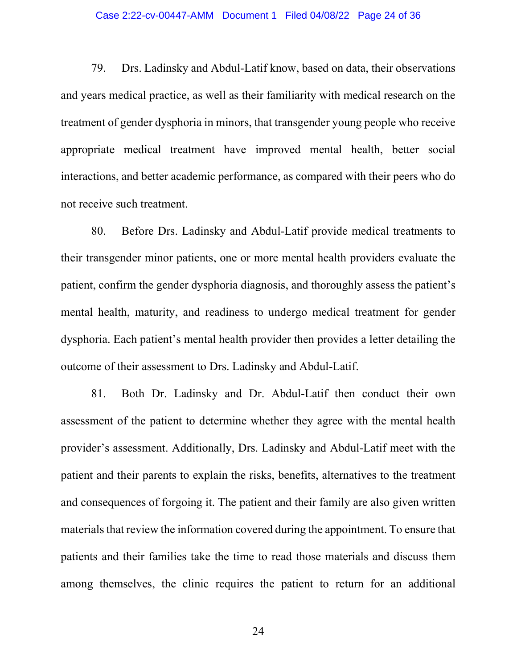#### Case 2:22-cv-00447-AMM Document 1 Filed 04/08/22 Page 24 of 36

79. Drs. Ladinsky and Abdul-Latif know, based on data, their observations and years medical practice, as well as their familiarity with medical research on the treatment of gender dysphoria in minors, that transgender young people who receive appropriate medical treatment have improved mental health, better social interactions, and better academic performance, as compared with their peers who do not receive such treatment.

80. Before Drs. Ladinsky and Abdul-Latif provide medical treatments to their transgender minor patients, one or more mental health providers evaluate the patient, confirm the gender dysphoria diagnosis, and thoroughly assess the patient's mental health, maturity, and readiness to undergo medical treatment for gender dysphoria. Each patient's mental health provider then provides a letter detailing the outcome of their assessment to Drs. Ladinsky and Abdul-Latif.

81. Both Dr. Ladinsky and Dr. Abdul-Latif then conduct their own assessment of the patient to determine whether they agree with the mental health provider's assessment. Additionally, Drs. Ladinsky and Abdul-Latif meet with the patient and their parents to explain the risks, benefits, alternatives to the treatment and consequences of forgoing it. The patient and their family are also given written materials that review the information covered during the appointment. To ensure that patients and their families take the time to read those materials and discuss them among themselves, the clinic requires the patient to return for an additional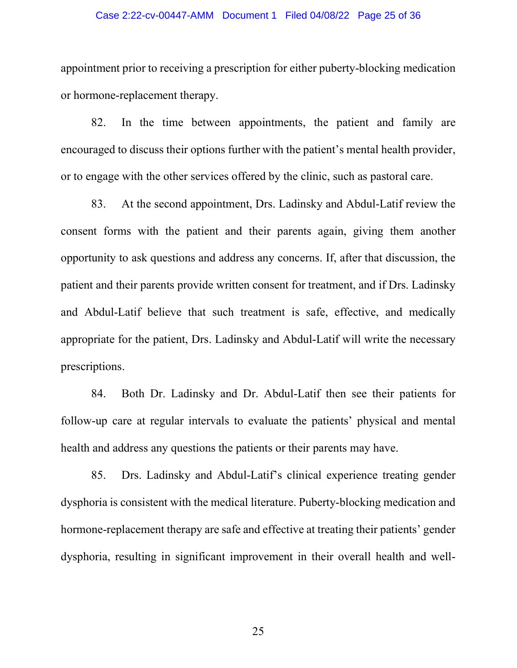#### Case 2:22-cv-00447-AMM Document 1 Filed 04/08/22 Page 25 of 36

appointment prior to receiving a prescription for either puberty-blocking medication or hormone-replacement therapy.

82. In the time between appointments, the patient and family are encouraged to discuss their options further with the patient's mental health provider, or to engage with the other services offered by the clinic, such as pastoral care.

83. At the second appointment, Drs. Ladinsky and Abdul-Latif review the consent forms with the patient and their parents again, giving them another opportunity to ask questions and address any concerns. If, after that discussion, the patient and their parents provide written consent for treatment, and if Drs. Ladinsky and Abdul-Latif believe that such treatment is safe, effective, and medically appropriate for the patient, Drs. Ladinsky and Abdul-Latif will write the necessary prescriptions.

84. Both Dr. Ladinsky and Dr. Abdul-Latif then see their patients for follow-up care at regular intervals to evaluate the patients' physical and mental health and address any questions the patients or their parents may have.

85. Drs. Ladinsky and Abdul-Latif's clinical experience treating gender dysphoria is consistent with the medical literature. Puberty-blocking medication and hormone-replacement therapy are safe and effective at treating their patients' gender dysphoria, resulting in significant improvement in their overall health and well-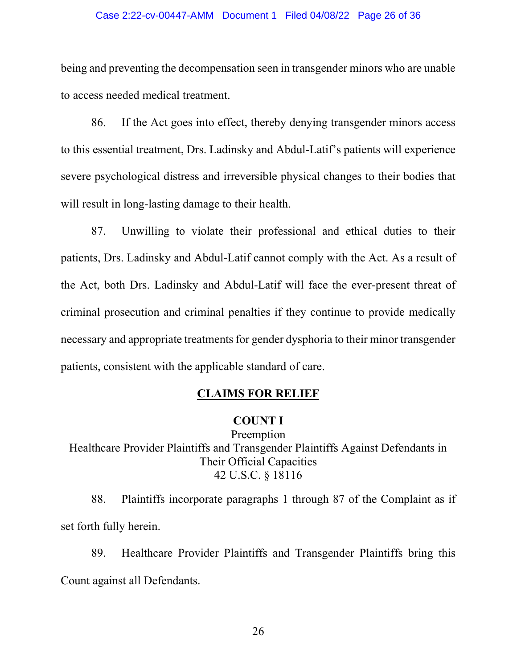#### Case 2:22-cv-00447-AMM Document 1 Filed 04/08/22 Page 26 of 36

being and preventing the decompensation seen in transgender minors who are unable to access needed medical treatment.

86. If the Act goes into effect, thereby denying transgender minors access to this essential treatment, Drs. Ladinsky and Abdul-Latif's patients will experience severe psychological distress and irreversible physical changes to their bodies that will result in long-lasting damage to their health.

87. Unwilling to violate their professional and ethical duties to their patients, Drs. Ladinsky and Abdul-Latif cannot comply with the Act. As a result of the Act, both Drs. Ladinsky and Abdul-Latif will face the ever-present threat of criminal prosecution and criminal penalties if they continue to provide medically necessary and appropriate treatments for gender dysphoria to their minor transgender patients, consistent with the applicable standard of care.

## CLAIMS FOR RELIEF

## COUNT I

Preemption Healthcare Provider Plaintiffs and Transgender Plaintiffs Against Defendants in Their Official Capacities 42 U.S.C. § 18116

88. Plaintiffs incorporate paragraphs 1 through 87 of the Complaint as if set forth fully herein.

89. Healthcare Provider Plaintiffs and Transgender Plaintiffs bring this Count against all Defendants.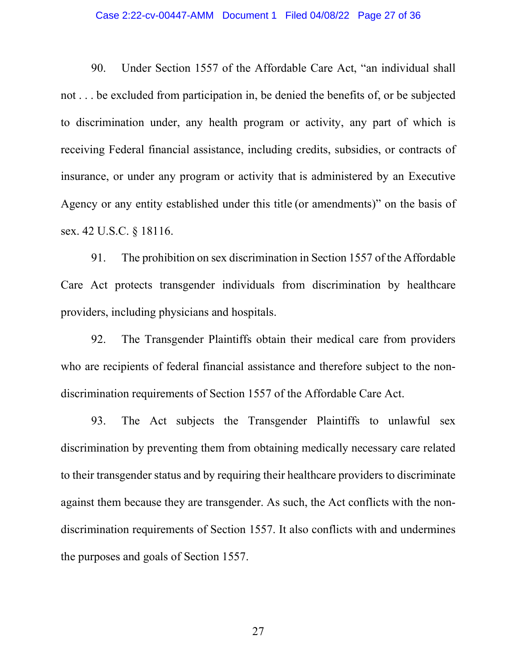#### Case 2:22-cv-00447-AMM Document 1 Filed 04/08/22 Page 27 of 36

90. Under Section 1557 of the Affordable Care Act, "an individual shall not . . . be excluded from participation in, be denied the benefits of, or be subjected to discrimination under, any health program or activity, any part of which is receiving Federal financial assistance, including credits, subsidies, or contracts of insurance, or under any program or activity that is administered by an Executive Agency or any entity established under this title (or amendments)" on the basis of sex. 42 U.S.C. § 18116.

91. The prohibition on sex discrimination in Section 1557 of the Affordable Care Act protects transgender individuals from discrimination by healthcare providers, including physicians and hospitals.

92. The Transgender Plaintiffs obtain their medical care from providers who are recipients of federal financial assistance and therefore subject to the nondiscrimination requirements of Section 1557 of the Affordable Care Act.

93. The Act subjects the Transgender Plaintiffs to unlawful sex discrimination by preventing them from obtaining medically necessary care related to their transgender status and by requiring their healthcare providers to discriminate against them because they are transgender. As such, the Act conflicts with the nondiscrimination requirements of Section 1557. It also conflicts with and undermines the purposes and goals of Section 1557.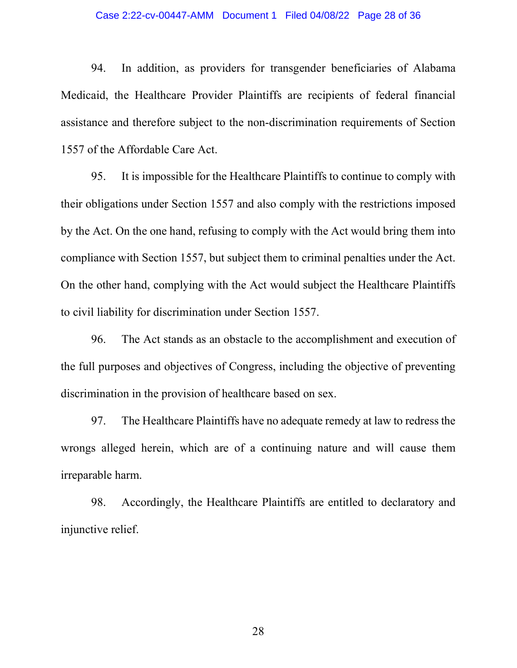#### Case 2:22-cv-00447-AMM Document 1 Filed 04/08/22 Page 28 of 36

94. In addition, as providers for transgender beneficiaries of Alabama Medicaid, the Healthcare Provider Plaintiffs are recipients of federal financial assistance and therefore subject to the non-discrimination requirements of Section 1557 of the Affordable Care Act.

95. It is impossible for the Healthcare Plaintiffs to continue to comply with their obligations under Section 1557 and also comply with the restrictions imposed by the Act. On the one hand, refusing to comply with the Act would bring them into compliance with Section 1557, but subject them to criminal penalties under the Act. On the other hand, complying with the Act would subject the Healthcare Plaintiffs to civil liability for discrimination under Section 1557.

96. The Act stands as an obstacle to the accomplishment and execution of the full purposes and objectives of Congress, including the objective of preventing discrimination in the provision of healthcare based on sex.

97. The Healthcare Plaintiffs have no adequate remedy at law to redress the wrongs alleged herein, which are of a continuing nature and will cause them irreparable harm.

98. Accordingly, the Healthcare Plaintiffs are entitled to declaratory and injunctive relief.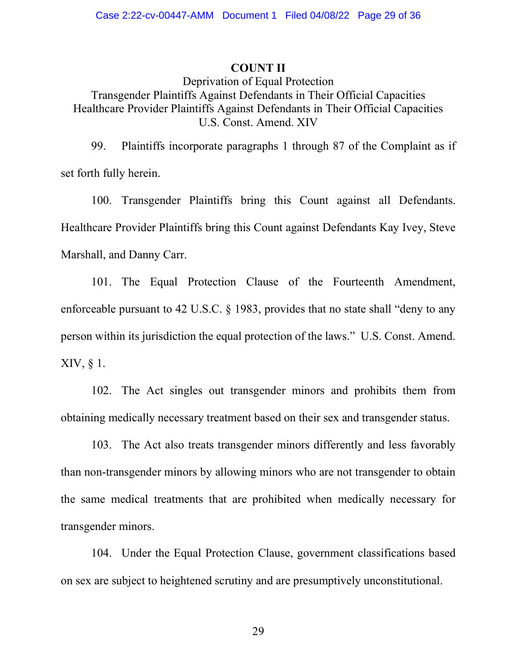## COUNT II

# Deprivation of Equal Protection Transgender Plaintiffs Against Defendants in Their Official Capacities Healthcare Provider Plaintiffs Against Defendants in Their Official Capacities U.S. Const. Amend. XIV

99. Plaintiffs incorporate paragraphs 1 through 87 of the Complaint as if set forth fully herein.

100. Transgender Plaintiffs bring this Count against all Defendants. Healthcare Provider Plaintiffs bring this Count against Defendants Kay Ivey, Steve Marshall, and Danny Carr.

101. The Equal Protection Clause of the Fourteenth Amendment, enforceable pursuant to 42 U.S.C. § 1983, provides that no state shall "deny to any person within its jurisdiction the equal protection of the laws." U.S. Const. Amend. XIV, § 1.

102. The Act singles out transgender minors and prohibits them from obtaining medically necessary treatment based on their sex and transgender status.

103. The Act also treats transgender minors differently and less favorably than non-transgender minors by allowing minors who are not transgender to obtain the same medical treatments that are prohibited when medically necessary for transgender minors.

104. Under the Equal Protection Clause, government classifications based on sex are subject to heightened scrutiny and are presumptively unconstitutional.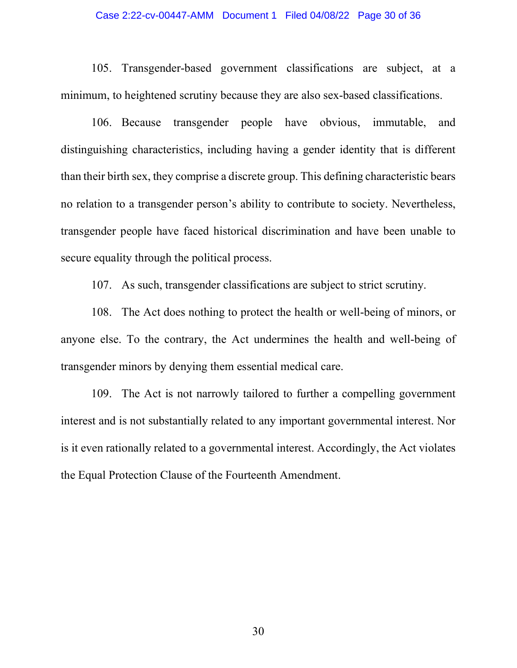### Case 2:22-cv-00447-AMM Document 1 Filed 04/08/22 Page 30 of 36

105. Transgender-based government classifications are subject, at a minimum, to heightened scrutiny because they are also sex-based classifications.

106. Because transgender people have obvious, immutable, and distinguishing characteristics, including having a gender identity that is different than their birth sex, they comprise a discrete group. This defining characteristic bears no relation to a transgender person's ability to contribute to society. Nevertheless, transgender people have faced historical discrimination and have been unable to secure equality through the political process.

107. As such, transgender classifications are subject to strict scrutiny.

108. The Act does nothing to protect the health or well-being of minors, or anyone else. To the contrary, the Act undermines the health and well-being of transgender minors by denying them essential medical care.

109. The Act is not narrowly tailored to further a compelling government interest and is not substantially related to any important governmental interest. Nor is it even rationally related to a governmental interest. Accordingly, the Act violates the Equal Protection Clause of the Fourteenth Amendment.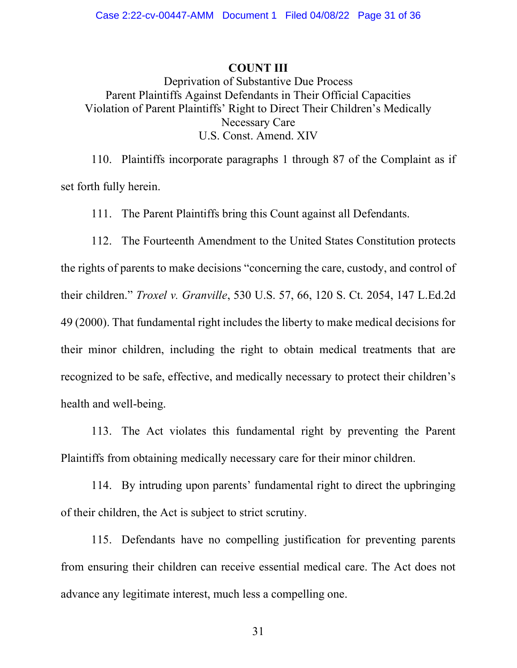## COUNT III

Deprivation of Substantive Due Process Parent Plaintiffs Against Defendants in Their Official Capacities Violation of Parent Plaintiffs' Right to Direct Their Children's Medically Necessary Care U.S. Const. Amend. XIV

110. Plaintiffs incorporate paragraphs 1 through 87 of the Complaint as if set forth fully herein.

111. The Parent Plaintiffs bring this Count against all Defendants.

112. The Fourteenth Amendment to the United States Constitution protects the rights of parents to make decisions "concerning the care, custody, and control of their children." Troxel v. Granville, 530 U.S. 57, 66, 120 S. Ct. 2054, 147 L.Ed.2d 49 (2000). That fundamental right includes the liberty to make medical decisions for their minor children, including the right to obtain medical treatments that are recognized to be safe, effective, and medically necessary to protect their children's health and well-being.

113. The Act violates this fundamental right by preventing the Parent Plaintiffs from obtaining medically necessary care for their minor children.

114. By intruding upon parents' fundamental right to direct the upbringing of their children, the Act is subject to strict scrutiny.

115. Defendants have no compelling justification for preventing parents from ensuring their children can receive essential medical care. The Act does not advance any legitimate interest, much less a compelling one.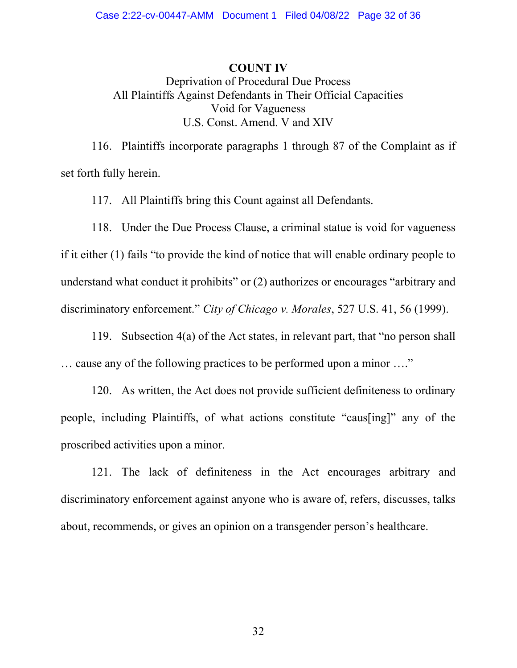## COUNT IV

# Deprivation of Procedural Due Process All Plaintiffs Against Defendants in Their Official Capacities Void for Vagueness U.S. Const. Amend. V and XIV

116. Plaintiffs incorporate paragraphs 1 through 87 of the Complaint as if set forth fully herein.

117. All Plaintiffs bring this Count against all Defendants.

118. Under the Due Process Clause, a criminal statue is void for vagueness if it either (1) fails "to provide the kind of notice that will enable ordinary people to understand what conduct it prohibits" or (2) authorizes or encourages "arbitrary and discriminatory enforcement." City of Chicago v. Morales, 527 U.S. 41, 56 (1999).

119. Subsection 4(a) of the Act states, in relevant part, that "no person shall … cause any of the following practices to be performed upon a minor …."

120. As written, the Act does not provide sufficient definiteness to ordinary people, including Plaintiffs, of what actions constitute "caus[ing]" any of the proscribed activities upon a minor.

121. The lack of definiteness in the Act encourages arbitrary and discriminatory enforcement against anyone who is aware of, refers, discusses, talks about, recommends, or gives an opinion on a transgender person's healthcare.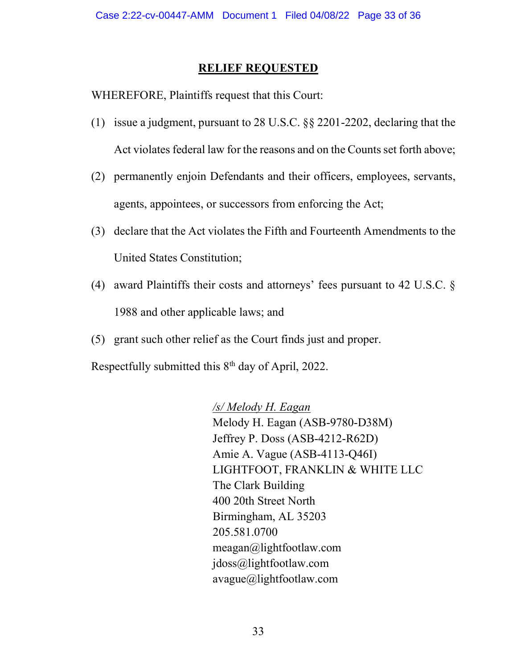## RELIEF REQUESTED

WHEREFORE, Plaintiffs request that this Court:

- (1) issue a judgment, pursuant to 28 U.S.C. §§ 2201-2202, declaring that the Act violates federal law for the reasons and on the Counts set forth above;
- (2) permanently enjoin Defendants and their officers, employees, servants, agents, appointees, or successors from enforcing the Act;
- (3) declare that the Act violates the Fifth and Fourteenth Amendments to the United States Constitution;
- (4) award Plaintiffs their costs and attorneys' fees pursuant to 42 U.S.C. § 1988 and other applicable laws; and
- (5) grant such other relief as the Court finds just and proper.

Respectfully submitted this  $8<sup>th</sup>$  day of April, 2022.

/s/ Melody H. Eagan Melody H. Eagan (ASB-9780-D38M) Jeffrey P. Doss (ASB-4212-R62D) Amie A. Vague (ASB-4113-Q46I) LIGHTFOOT, FRANKLIN & WHITE LLC The Clark Building 400 20th Street North Birmingham, AL 35203 205.581.0700 meagan@lightfootlaw.com jdoss@lightfootlaw.com avague@lightfootlaw.com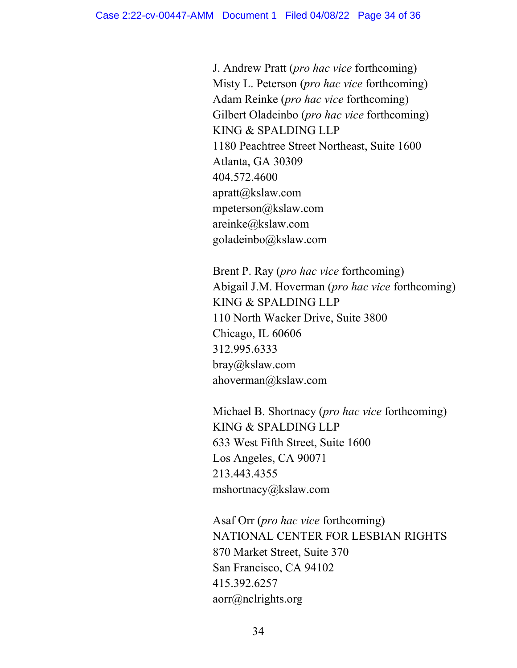J. Andrew Pratt (pro hac vice forthcoming) Misty L. Peterson (*pro hac vice* forthcoming) Adam Reinke (pro hac vice forthcoming) Gilbert Oladeinbo (*pro hac vice* forthcoming) KING & SPALDING LLP 1180 Peachtree Street Northeast, Suite 1600 Atlanta, GA 30309 404.572.4600 apratt@kslaw.com mpeterson@kslaw.com areinke@kslaw.com goladeinbo@kslaw.com

Brent P. Ray (pro hac vice forthcoming) Abigail J.M. Hoverman (pro hac vice forthcoming) KING & SPALDING LLP 110 North Wacker Drive, Suite 3800 Chicago, IL 60606 312.995.6333 bray@kslaw.com ahoverman@kslaw.com

Michael B. Shortnacy (*pro hac vice* forthcoming) KING & SPALDING LLP 633 West Fifth Street, Suite 1600 Los Angeles, CA 90071 213.443.4355 mshortnacy@kslaw.com

 Asaf Orr (pro hac vice forthcoming) NATIONAL CENTER FOR LESBIAN RIGHTS 870 Market Street, Suite 370 San Francisco, CA 94102 415.392.6257 aorr@nclrights.org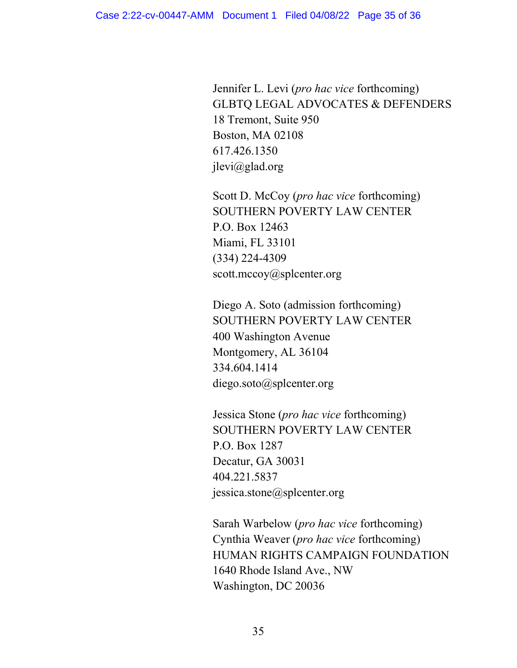Jennifer L. Levi (pro hac vice forthcoming) GLBTQ LEGAL ADVOCATES & DEFENDERS 18 Tremont, Suite 950 Boston, MA 02108 617.426.1350 jlevi@glad.org

Scott D. McCoy (*pro hac vice* forthcoming) SOUTHERN POVERTY LAW CENTER P.O. Box 12463 Miami, FL 33101 (334) 224-4309 scott.mccoy@splcenter.org

Diego A. Soto (admission forthcoming) SOUTHERN POVERTY LAW CENTER 400 Washington Avenue Montgomery, AL 36104 334.604.1414 diego.soto@splcenter.org

Jessica Stone (pro hac vice forthcoming) SOUTHERN POVERTY LAW CENTER P.O. Box 1287 Decatur, GA 30031 404.221.5837 jessica.stone@splcenter.org

Sarah Warbelow (pro hac vice forthcoming) Cynthia Weaver (pro hac vice forthcoming) HUMAN RIGHTS CAMPAIGN FOUNDATION 1640 Rhode Island Ave., NW Washington, DC 20036